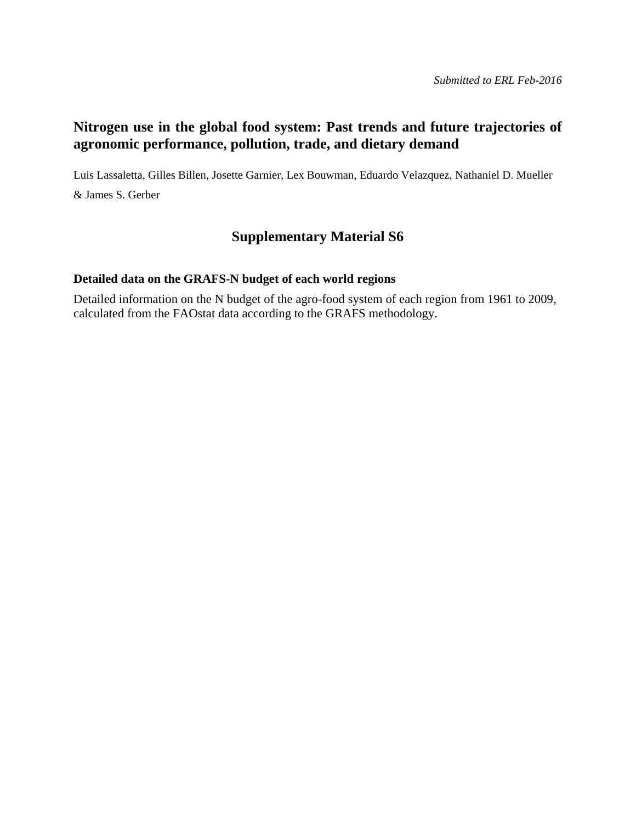#### **Nitrogen use in the global food system: Past trends and future trajectories of agronomic performance, pollution, trade, and dietary demand**

Luis Lassaletta, Gilles Billen, Josette Garnier, Lex Bouwman, Eduardo Velazquez, Nathaniel D. Mueller & James S. Gerber

#### **Supplementary Material S6**

#### **Detailed data on the GRAFS-N budget of each world regions**

Detailed information on the N budget of the agro-food system of each region from 1961 to 2009, calculated from the FAOstat data according to the GRAFS methodology.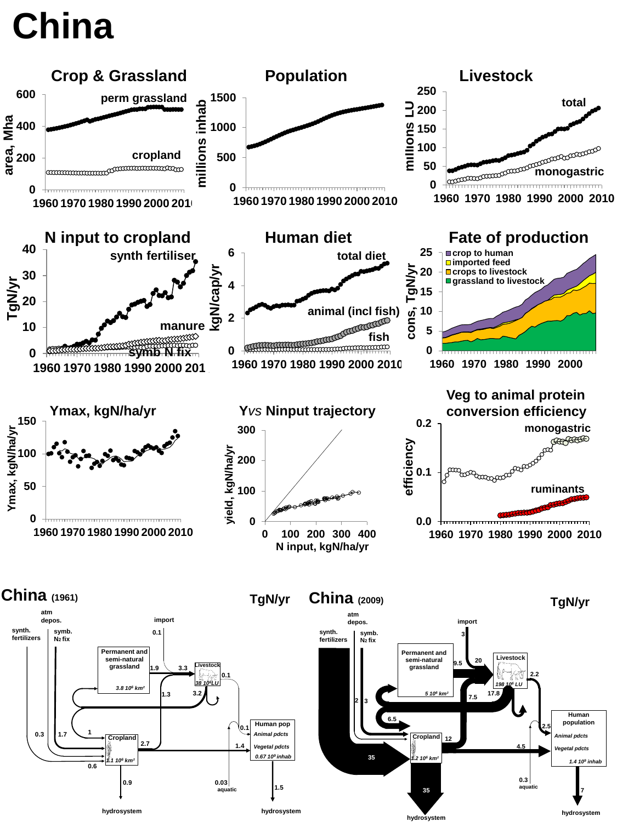# **China**

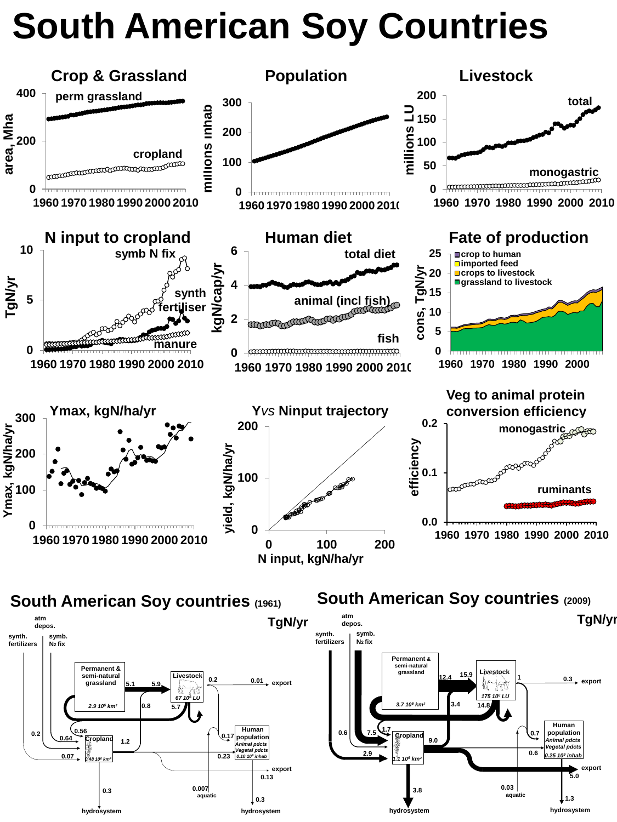# **South American Soy Countries**





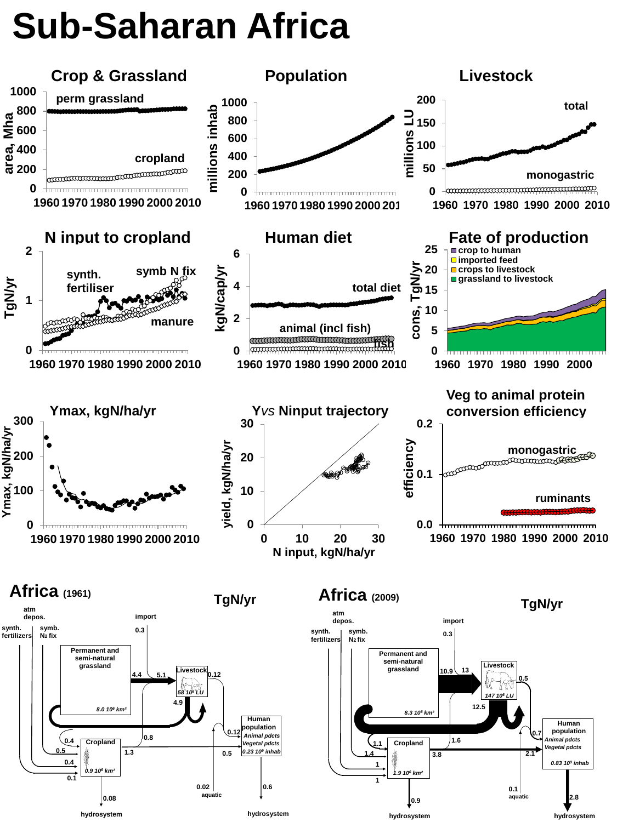# **Sub-Saharan Africa**

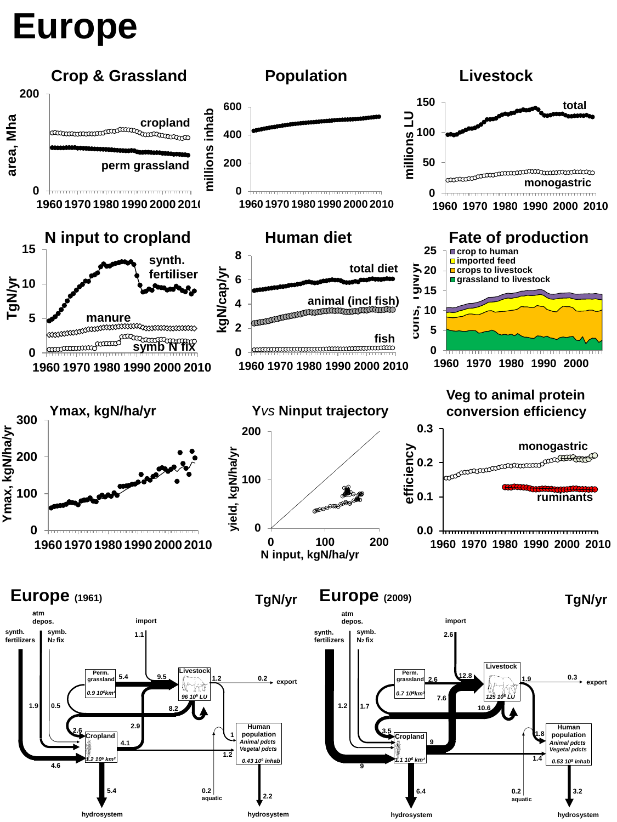## **Europe**

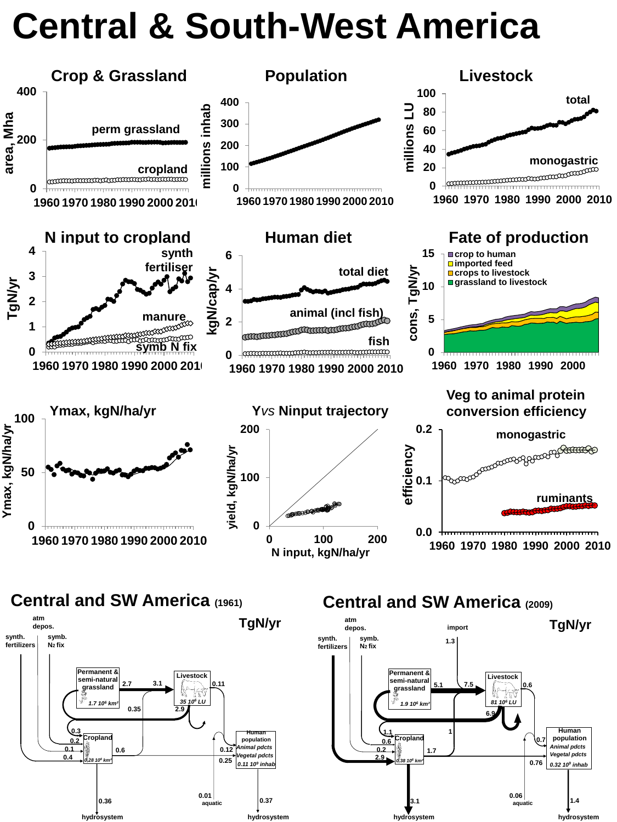#### **Central & South-West America**





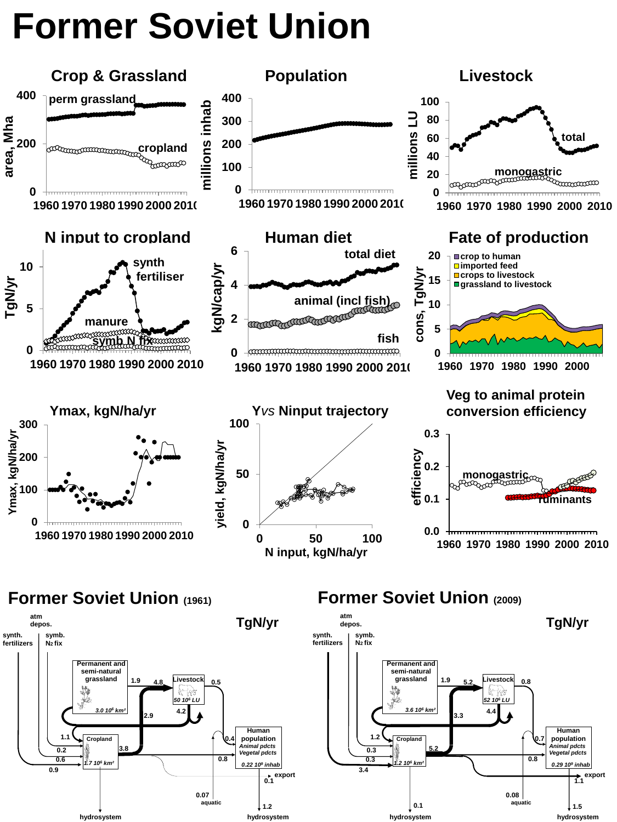## **Former Soviet Union**





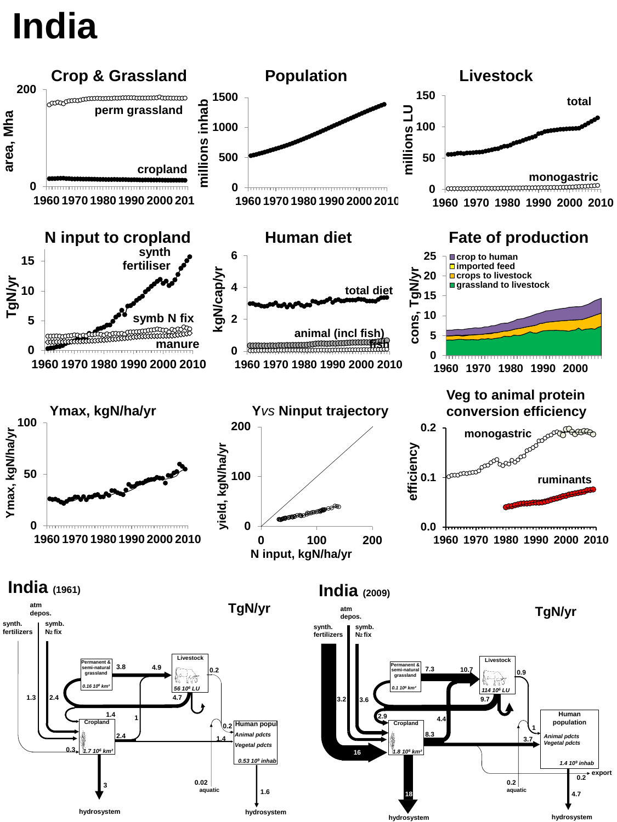## **India**

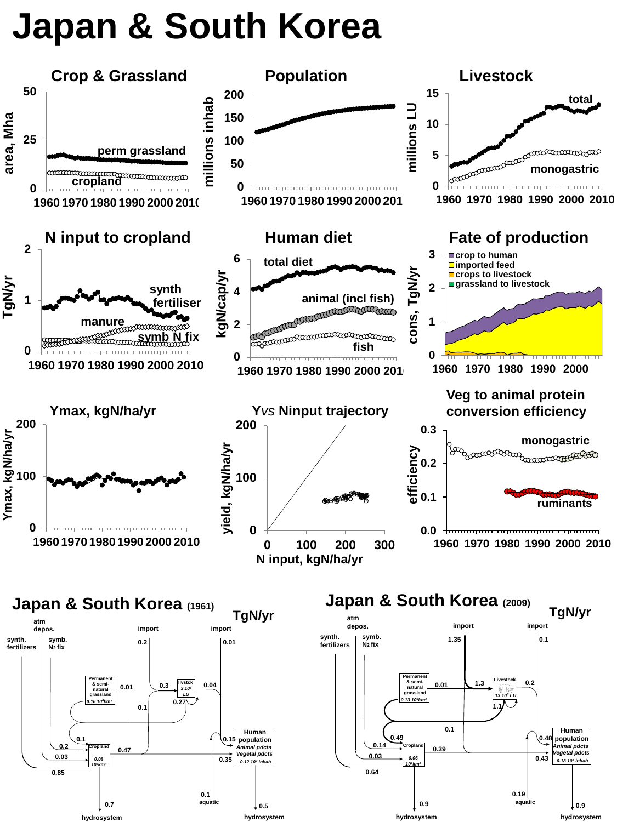#### **Japan & South Korea**

**hydrosystem hydrosystem**



**hydrosystem hydrosystem**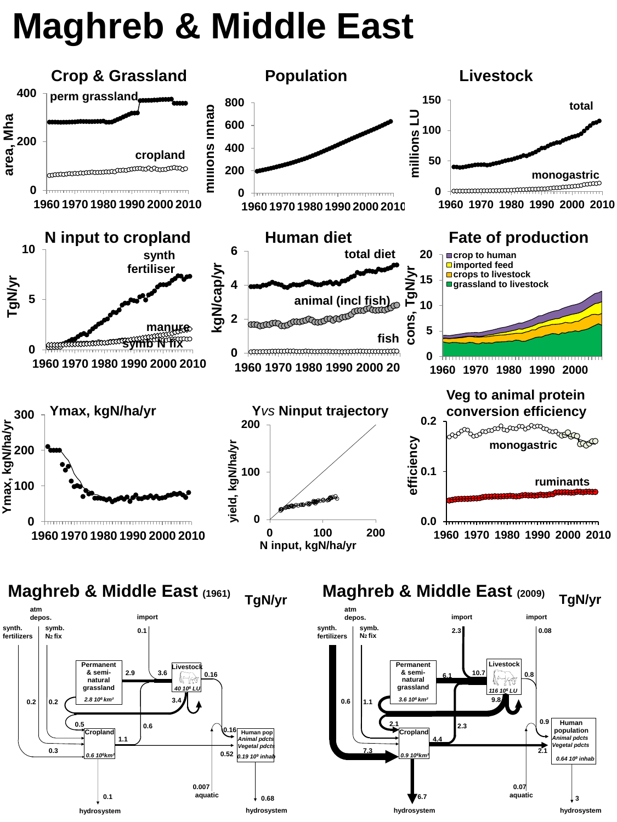#### **Maghreb & Middle East**

**0.1 a duatic**  $\downarrow$  **0.68 hydrosystem hydrosystem**

**aquatic**



6.7 **a** aquatic  $\begin{matrix} 3 \end{matrix}$ **hydrosystem hydrosystem**

**aquatic**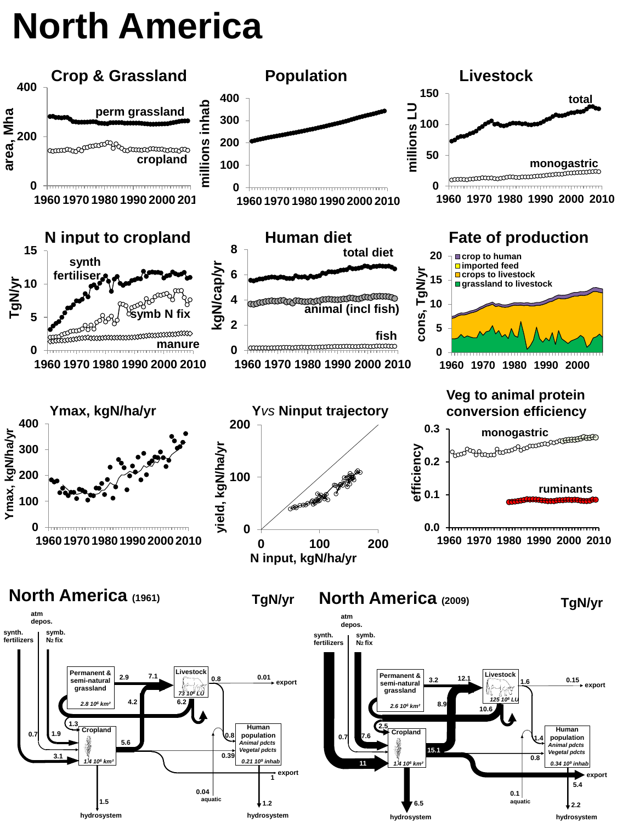## **North America**

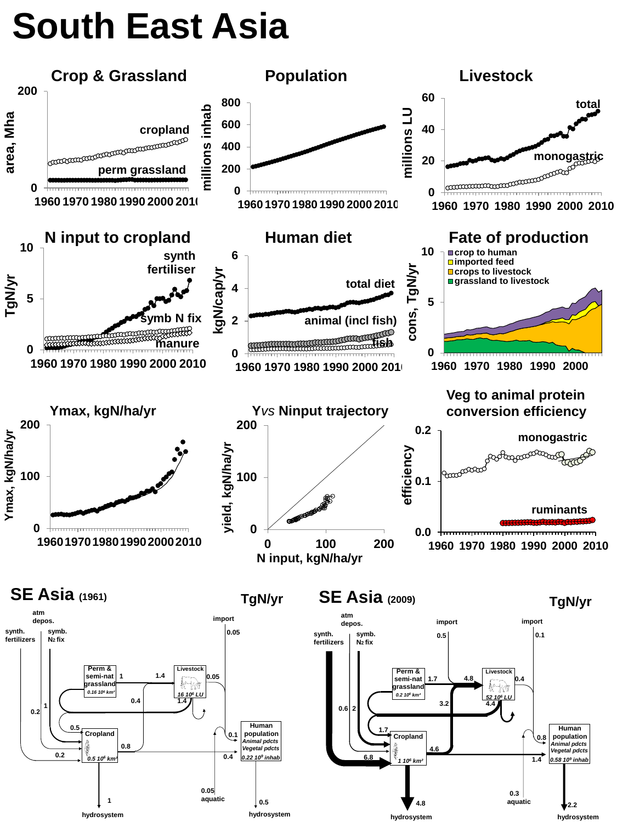## **South East Asia**